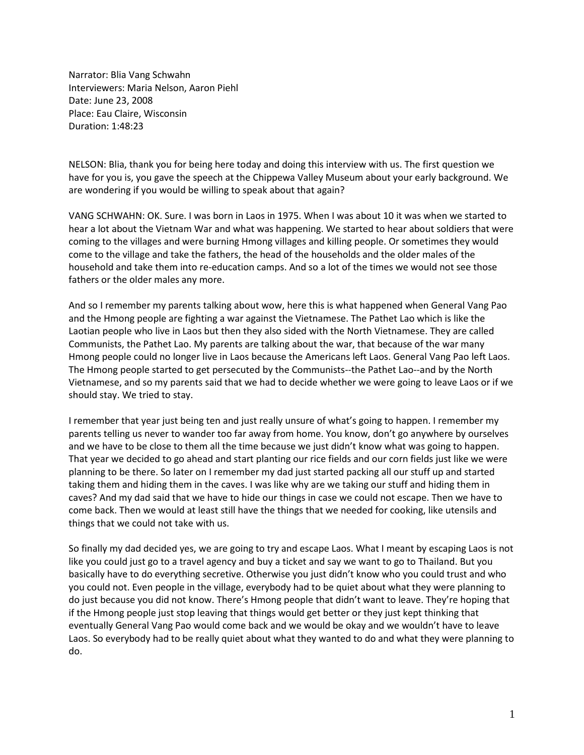Narrator: Blia Vang Schwahn Interviewers: Maria Nelson, Aaron Piehl Date: June 23, 2008 Place: Eau Claire, Wisconsin Duration: 1:48:23

NELSON: Blia, thank you for being here today and doing this interview with us. The first question we have for you is, you gave the speech at the Chippewa Valley Museum about your early background. We are wondering if you would be willing to speak about that again?

VANG SCHWAHN: OK. Sure. I was born in Laos in 1975. When I was about 10 it was when we started to hear a lot about the Vietnam War and what was happening. We started to hear about soldiers that were coming to the villages and were burning Hmong villages and killing people. Or sometimes they would come to the village and take the fathers, the head of the households and the older males of the household and take them into re-education camps. And so a lot of the times we would not see those fathers or the older males any more.

And so I remember my parents talking about wow, here this is what happened when General Vang Pao and the Hmong people are fighting a war against the Vietnamese. The Pathet Lao which is like the Laotian people who live in Laos but then they also sided with the North Vietnamese. They are called Communists, the Pathet Lao. My parents are talking about the war, that because of the war many Hmong people could no longer live in Laos because the Americans left Laos. General Vang Pao left Laos. The Hmong people started to get persecuted by the Communists--the Pathet Lao--and by the North Vietnamese, and so my parents said that we had to decide whether we were going to leave Laos or if we should stay. We tried to stay.

I remember that year just being ten and just really unsure of what's going to happen. I remember my parents telling us never to wander too far away from home. You know, don't go anywhere by ourselves and we have to be close to them all the time because we just didn't know what was going to happen. That year we decided to go ahead and start planting our rice fields and our corn fields just like we were planning to be there. So later on I remember my dad just started packing all our stuff up and started taking them and hiding them in the caves. I was like why are we taking our stuff and hiding them in caves? And my dad said that we have to hide our things in case we could not escape. Then we have to come back. Then we would at least still have the things that we needed for cooking, like utensils and things that we could not take with us.

So finally my dad decided yes, we are going to try and escape Laos. What I meant by escaping Laos is not like you could just go to a travel agency and buy a ticket and say we want to go to Thailand. But you basically have to do everything secretive. Otherwise you just didn't know who you could trust and who you could not. Even people in the village, everybody had to be quiet about what they were planning to do just because you did not know. There's Hmong people that didn't want to leave. They're hoping that if the Hmong people just stop leaving that things would get better or they just kept thinking that eventually General Vang Pao would come back and we would be okay and we wouldn't have to leave Laos. So everybody had to be really quiet about what they wanted to do and what they were planning to do.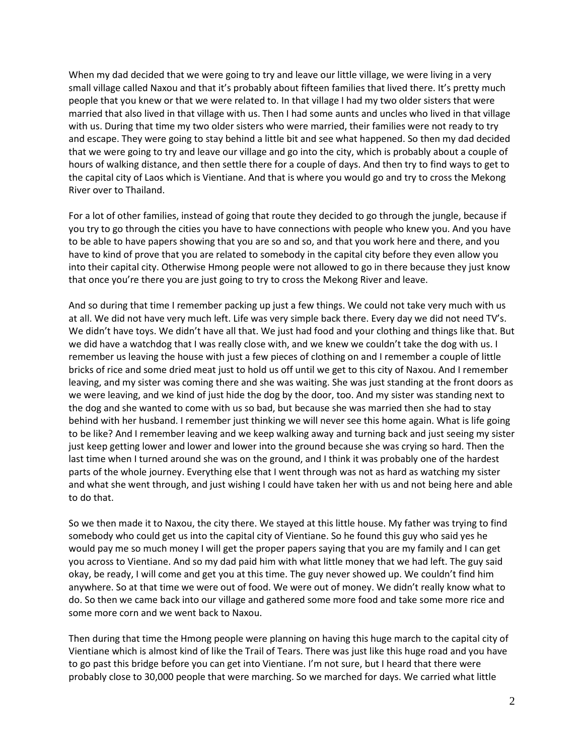When my dad decided that we were going to try and leave our little village, we were living in a very small village called Naxou and that it's probably about fifteen families that lived there. It's pretty much people that you knew or that we were related to. In that village I had my two older sisters that were married that also lived in that village with us. Then I had some aunts and uncles who lived in that village with us. During that time my two older sisters who were married, their families were not ready to try and escape. They were going to stay behind a little bit and see what happened. So then my dad decided that we were going to try and leave our village and go into the city, which is probably about a couple of hours of walking distance, and then settle there for a couple of days. And then try to find ways to get to the capital city of Laos which is Vientiane. And that is where you would go and try to cross the Mekong River over to Thailand.

For a lot of other families, instead of going that route they decided to go through the jungle, because if you try to go through the cities you have to have connections with people who knew you. And you have to be able to have papers showing that you are so and so, and that you work here and there, and you have to kind of prove that you are related to somebody in the capital city before they even allow you into their capital city. Otherwise Hmong people were not allowed to go in there because they just know that once you're there you are just going to try to cross the Mekong River and leave.

And so during that time I remember packing up just a few things. We could not take very much with us at all. We did not have very much left. Life was very simple back there. Every day we did not need TV's. We didn't have toys. We didn't have all that. We just had food and your clothing and things like that. But we did have a watchdog that I was really close with, and we knew we couldn't take the dog with us. I remember us leaving the house with just a few pieces of clothing on and I remember a couple of little bricks of rice and some dried meat just to hold us off until we get to this city of Naxou. And I remember leaving, and my sister was coming there and she was waiting. She was just standing at the front doors as we were leaving, and we kind of just hide the dog by the door, too. And my sister was standing next to the dog and she wanted to come with us so bad, but because she was married then she had to stay behind with her husband. I remember just thinking we will never see this home again. What is life going to be like? And I remember leaving and we keep walking away and turning back and just seeing my sister just keep getting lower and lower and lower into the ground because she was crying so hard. Then the last time when I turned around she was on the ground, and I think it was probably one of the hardest parts of the whole journey. Everything else that I went through was not as hard as watching my sister and what she went through, and just wishing I could have taken her with us and not being here and able to do that.

So we then made it to Naxou, the city there. We stayed at this little house. My father was trying to find somebody who could get us into the capital city of Vientiane. So he found this guy who said yes he would pay me so much money I will get the proper papers saying that you are my family and I can get you across to Vientiane. And so my dad paid him with what little money that we had left. The guy said okay, be ready, I will come and get you at this time. The guy never showed up. We couldn't find him anywhere. So at that time we were out of food. We were out of money. We didn't really know what to do. So then we came back into our village and gathered some more food and take some more rice and some more corn and we went back to Naxou.

Then during that time the Hmong people were planning on having this huge march to the capital city of Vientiane which is almost kind of like the Trail of Tears. There was just like this huge road and you have to go past this bridge before you can get into Vientiane. I'm not sure, but I heard that there were probably close to 30,000 people that were marching. So we marched for days. We carried what little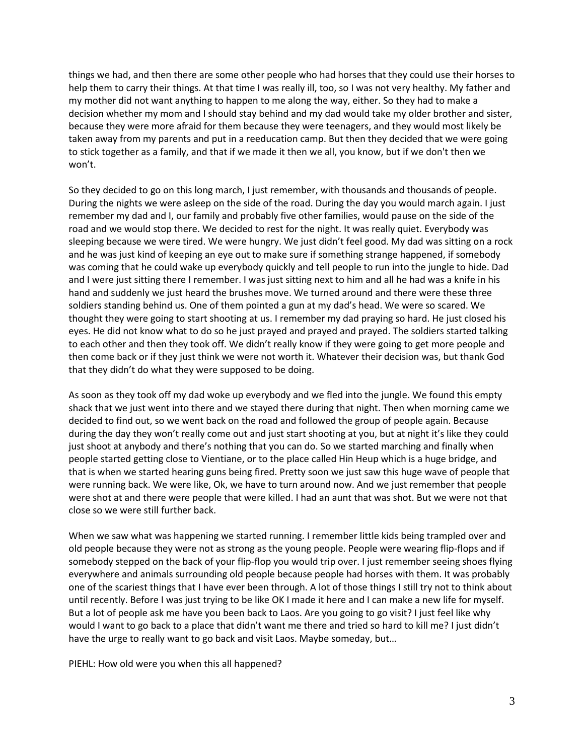things we had, and then there are some other people who had horses that they could use their horses to help them to carry their things. At that time I was really ill, too, so I was not very healthy. My father and my mother did not want anything to happen to me along the way, either. So they had to make a decision whether my mom and I should stay behind and my dad would take my older brother and sister, because they were more afraid for them because they were teenagers, and they would most likely be taken away from my parents and put in a reeducation camp. But then they decided that we were going to stick together as a family, and that if we made it then we all, you know, but if we don't then we won't.

So they decided to go on this long march, I just remember, with thousands and thousands of people. During the nights we were asleep on the side of the road. During the day you would march again. I just remember my dad and I, our family and probably five other families, would pause on the side of the road and we would stop there. We decided to rest for the night. It was really quiet. Everybody was sleeping because we were tired. We were hungry. We just didn't feel good. My dad was sitting on a rock and he was just kind of keeping an eye out to make sure if something strange happened, if somebody was coming that he could wake up everybody quickly and tell people to run into the jungle to hide. Dad and I were just sitting there I remember. I was just sitting next to him and all he had was a knife in his hand and suddenly we just heard the brushes move. We turned around and there were these three soldiers standing behind us. One of them pointed a gun at my dad's head. We were so scared. We thought they were going to start shooting at us. I remember my dad praying so hard. He just closed his eyes. He did not know what to do so he just prayed and prayed and prayed. The soldiers started talking to each other and then they took off. We didn't really know if they were going to get more people and then come back or if they just think we were not worth it. Whatever their decision was, but thank God that they didn't do what they were supposed to be doing.

As soon as they took off my dad woke up everybody and we fled into the jungle. We found this empty shack that we just went into there and we stayed there during that night. Then when morning came we decided to find out, so we went back on the road and followed the group of people again. Because during the day they won't really come out and just start shooting at you, but at night it's like they could just shoot at anybody and there's nothing that you can do. So we started marching and finally when people started getting close to Vientiane, or to the place called Hin Heup which is a huge bridge, and that is when we started hearing guns being fired. Pretty soon we just saw this huge wave of people that were running back. We were like, Ok, we have to turn around now. And we just remember that people were shot at and there were people that were killed. I had an aunt that was shot. But we were not that close so we were still further back.

When we saw what was happening we started running. I remember little kids being trampled over and old people because they were not as strong as the young people. People were wearing flip-flops and if somebody stepped on the back of your flip-flop you would trip over. I just remember seeing shoes flying everywhere and animals surrounding old people because people had horses with them. It was probably one of the scariest things that I have ever been through. A lot of those things I still try not to think about until recently. Before I was just trying to be like OK I made it here and I can make a new life for myself. But a lot of people ask me have you been back to Laos. Are you going to go visit? I just feel like why would I want to go back to a place that didn't want me there and tried so hard to kill me? I just didn't have the urge to really want to go back and visit Laos. Maybe someday, but…

PIEHL: How old were you when this all happened?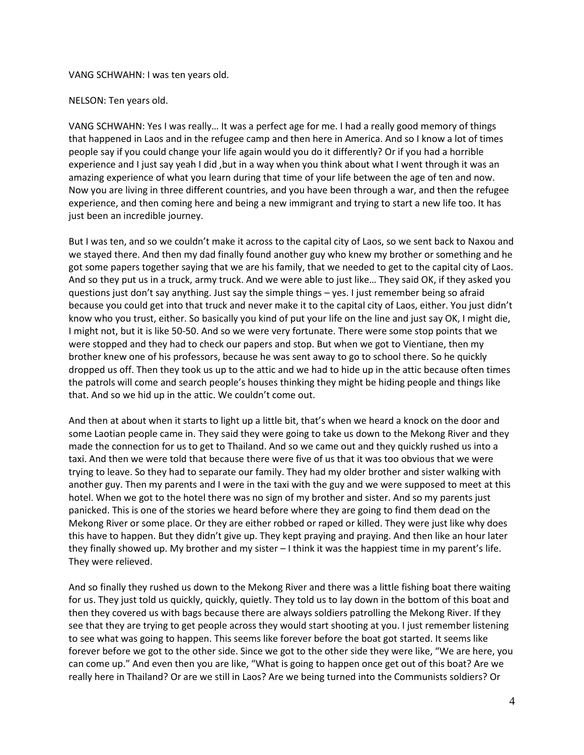#### VANG SCHWAHN: I was ten years old.

NELSON: Ten years old.

VANG SCHWAHN: Yes I was really… It was a perfect age for me. I had a really good memory of things that happened in Laos and in the refugee camp and then here in America. And so I know a lot of times people say if you could change your life again would you do it differently? Or if you had a horrible experience and I just say yeah I did, but in a way when you think about what I went through it was an amazing experience of what you learn during that time of your life between the age of ten and now. Now you are living in three different countries, and you have been through a war, and then the refugee experience, and then coming here and being a new immigrant and trying to start a new life too. It has just been an incredible journey.

But I was ten, and so we couldn't make it across to the capital city of Laos, so we sent back to Naxou and we stayed there. And then my dad finally found another guy who knew my brother or something and he got some papers together saying that we are his family, that we needed to get to the capital city of Laos. And so they put us in a truck, army truck. And we were able to just like… They said OK, if they asked you questions just don't say anything. Just say the simple things – yes. I just remember being so afraid because you could get into that truck and never make it to the capital city of Laos, either. You just didn't know who you trust, either. So basically you kind of put your life on the line and just say OK, I might die, I might not, but it is like 50-50. And so we were very fortunate. There were some stop points that we were stopped and they had to check our papers and stop. But when we got to Vientiane, then my brother knew one of his professors, because he was sent away to go to school there. So he quickly dropped us off. Then they took us up to the attic and we had to hide up in the attic because often times the patrols will come and search people's houses thinking they might be hiding people and things like that. And so we hid up in the attic. We couldn't come out.

And then at about when it starts to light up a little bit, that's when we heard a knock on the door and some Laotian people came in. They said they were going to take us down to the Mekong River and they made the connection for us to get to Thailand. And so we came out and they quickly rushed us into a taxi. And then we were told that because there were five of us that it was too obvious that we were trying to leave. So they had to separate our family. They had my older brother and sister walking with another guy. Then my parents and I were in the taxi with the guy and we were supposed to meet at this hotel. When we got to the hotel there was no sign of my brother and sister. And so my parents just panicked. This is one of the stories we heard before where they are going to find them dead on the Mekong River or some place. Or they are either robbed or raped or killed. They were just like why does this have to happen. But they didn't give up. They kept praying and praying. And then like an hour later they finally showed up. My brother and my sister – I think it was the happiest time in my parent's life. They were relieved.

And so finally they rushed us down to the Mekong River and there was a little fishing boat there waiting for us. They just told us quickly, quickly, quietly. They told us to lay down in the bottom of this boat and then they covered us with bags because there are always soldiers patrolling the Mekong River. If they see that they are trying to get people across they would start shooting at you. I just remember listening to see what was going to happen. This seems like forever before the boat got started. It seems like forever before we got to the other side. Since we got to the other side they were like, "We are here, you can come up." And even then you are like, "What is going to happen once get out of this boat? Are we really here in Thailand? Or are we still in Laos? Are we being turned into the Communists soldiers? Or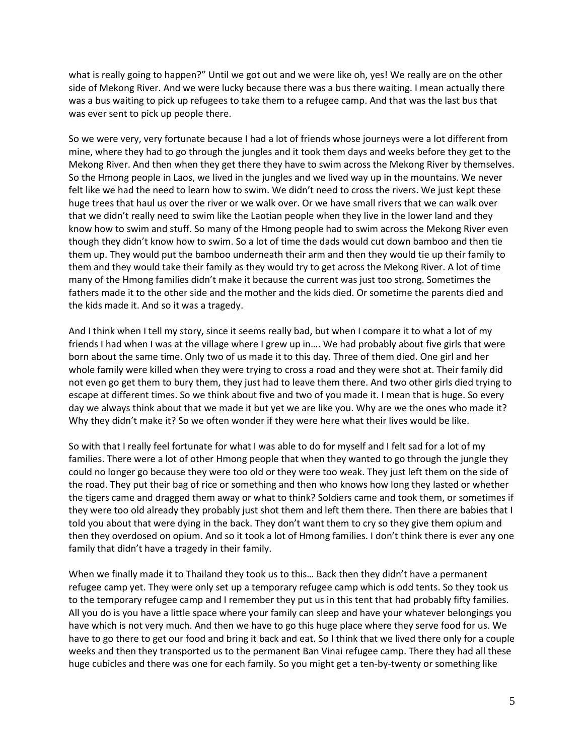what is really going to happen?" Until we got out and we were like oh, yes! We really are on the other side of Mekong River. And we were lucky because there was a bus there waiting. I mean actually there was a bus waiting to pick up refugees to take them to a refugee camp. And that was the last bus that was ever sent to pick up people there.

So we were very, very fortunate because I had a lot of friends whose journeys were a lot different from mine, where they had to go through the jungles and it took them days and weeks before they get to the Mekong River. And then when they get there they have to swim across the Mekong River by themselves. So the Hmong people in Laos, we lived in the jungles and we lived way up in the mountains. We never felt like we had the need to learn how to swim. We didn't need to cross the rivers. We just kept these huge trees that haul us over the river or we walk over. Or we have small rivers that we can walk over that we didn't really need to swim like the Laotian people when they live in the lower land and they know how to swim and stuff. So many of the Hmong people had to swim across the Mekong River even though they didn't know how to swim. So a lot of time the dads would cut down bamboo and then tie them up. They would put the bamboo underneath their arm and then they would tie up their family to them and they would take their family as they would try to get across the Mekong River. A lot of time many of the Hmong families didn't make it because the current was just too strong. Sometimes the fathers made it to the other side and the mother and the kids died. Or sometime the parents died and the kids made it. And so it was a tragedy.

And I think when I tell my story, since it seems really bad, but when I compare it to what a lot of my friends I had when I was at the village where I grew up in…. We had probably about five girls that were born about the same time. Only two of us made it to this day. Three of them died. One girl and her whole family were killed when they were trying to cross a road and they were shot at. Their family did not even go get them to bury them, they just had to leave them there. And two other girls died trying to escape at different times. So we think about five and two of you made it. I mean that is huge. So every day we always think about that we made it but yet we are like you. Why are we the ones who made it? Why they didn't make it? So we often wonder if they were here what their lives would be like.

So with that I really feel fortunate for what I was able to do for myself and I felt sad for a lot of my families. There were a lot of other Hmong people that when they wanted to go through the jungle they could no longer go because they were too old or they were too weak. They just left them on the side of the road. They put their bag of rice or something and then who knows how long they lasted or whether the tigers came and dragged them away or what to think? Soldiers came and took them, or sometimes if they were too old already they probably just shot them and left them there. Then there are babies that I told you about that were dying in the back. They don't want them to cry so they give them opium and then they overdosed on opium. And so it took a lot of Hmong families. I don't think there is ever any one family that didn't have a tragedy in their family.

When we finally made it to Thailand they took us to this… Back then they didn't have a permanent refugee camp yet. They were only set up a temporary refugee camp which is odd tents. So they took us to the temporary refugee camp and I remember they put us in this tent that had probably fifty families. All you do is you have a little space where your family can sleep and have your whatever belongings you have which is not very much. And then we have to go this huge place where they serve food for us. We have to go there to get our food and bring it back and eat. So I think that we lived there only for a couple weeks and then they transported us to the permanent Ban Vinai refugee camp. There they had all these huge cubicles and there was one for each family. So you might get a ten-by-twenty or something like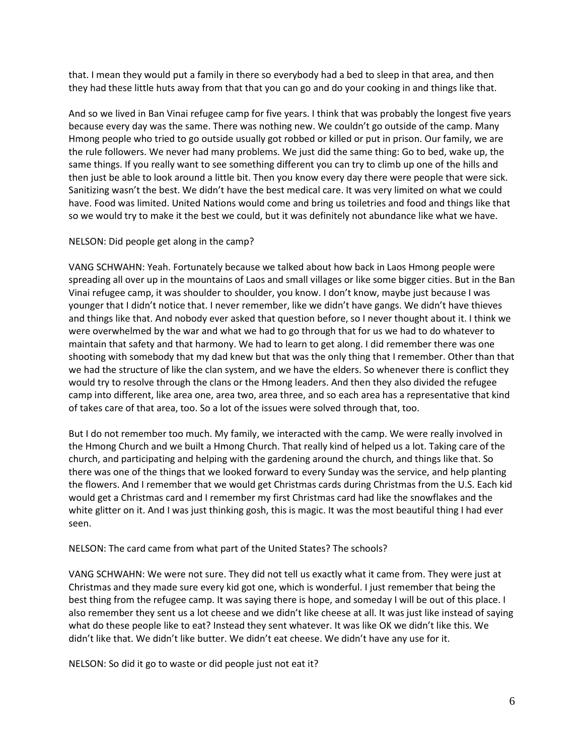that. I mean they would put a family in there so everybody had a bed to sleep in that area, and then they had these little huts away from that that you can go and do your cooking in and things like that.

And so we lived in Ban Vinai refugee camp for five years. I think that was probably the longest five years because every day was the same. There was nothing new. We couldn't go outside of the camp. Many Hmong people who tried to go outside usually got robbed or killed or put in prison. Our family, we are the rule followers. We never had many problems. We just did the same thing: Go to bed, wake up, the same things. If you really want to see something different you can try to climb up one of the hills and then just be able to look around a little bit. Then you know every day there were people that were sick. Sanitizing wasn't the best. We didn't have the best medical care. It was very limited on what we could have. Food was limited. United Nations would come and bring us toiletries and food and things like that so we would try to make it the best we could, but it was definitely not abundance like what we have.

# NELSON: Did people get along in the camp?

VANG SCHWAHN: Yeah. Fortunately because we talked about how back in Laos Hmong people were spreading all over up in the mountains of Laos and small villages or like some bigger cities. But in the Ban Vinai refugee camp, it was shoulder to shoulder, you know. I don't know, maybe just because I was younger that I didn't notice that. I never remember, like we didn't have gangs. We didn't have thieves and things like that. And nobody ever asked that question before, so I never thought about it. I think we were overwhelmed by the war and what we had to go through that for us we had to do whatever to maintain that safety and that harmony. We had to learn to get along. I did remember there was one shooting with somebody that my dad knew but that was the only thing that I remember. Other than that we had the structure of like the clan system, and we have the elders. So whenever there is conflict they would try to resolve through the clans or the Hmong leaders. And then they also divided the refugee camp into different, like area one, area two, area three, and so each area has a representative that kind of takes care of that area, too. So a lot of the issues were solved through that, too.

But I do not remember too much. My family, we interacted with the camp. We were really involved in the Hmong Church and we built a Hmong Church. That really kind of helped us a lot. Taking care of the church, and participating and helping with the gardening around the church, and things like that. So there was one of the things that we looked forward to every Sunday was the service, and help planting the flowers. And I remember that we would get Christmas cards during Christmas from the U.S. Each kid would get a Christmas card and I remember my first Christmas card had like the snowflakes and the white glitter on it. And I was just thinking gosh, this is magic. It was the most beautiful thing I had ever seen.

NELSON: The card came from what part of the United States? The schools?

VANG SCHWAHN: We were not sure. They did not tell us exactly what it came from. They were just at Christmas and they made sure every kid got one, which is wonderful. I just remember that being the best thing from the refugee camp. It was saying there is hope, and someday I will be out of this place. I also remember they sent us a lot cheese and we didn't like cheese at all. It was just like instead of saying what do these people like to eat? Instead they sent whatever. It was like OK we didn't like this. We didn't like that. We didn't like butter. We didn't eat cheese. We didn't have any use for it.

NELSON: So did it go to waste or did people just not eat it?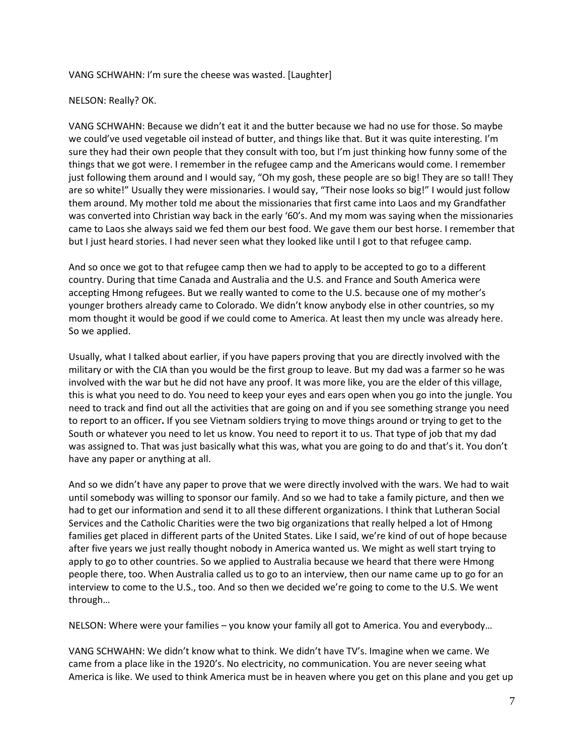## VANG SCHWAHN: I'm sure the cheese was wasted. [Laughter]

## NELSON: Really? OK.

VANG SCHWAHN: Because we didn't eat it and the butter because we had no use for those. So maybe we could've used vegetable oil instead of butter, and things like that. But it was quite interesting. I'm sure they had their own people that they consult with too, but I'm just thinking how funny some of the things that we got were. I remember in the refugee camp and the Americans would come. I remember just following them around and I would say, "Oh my gosh, these people are so big! They are so tall! They are so white!" Usually they were missionaries. I would say, "Their nose looks so big!" I would just follow them around. My mother told me about the missionaries that first came into Laos and my Grandfather was converted into Christian way back in the early '60's. And my mom was saying when the missionaries came to Laos she always said we fed them our best food. We gave them our best horse. I remember that but I just heard stories. I had never seen what they looked like until I got to that refugee camp.

And so once we got to that refugee camp then we had to apply to be accepted to go to a different country. During that time Canada and Australia and the U.S. and France and South America were accepting Hmong refugees. But we really wanted to come to the U.S. because one of my mother's younger brothers already came to Colorado. We didn't know anybody else in other countries, so my mom thought it would be good if we could come to America. At least then my uncle was already here. So we applied.

Usually, what I talked about earlier, if you have papers proving that you are directly involved with the military or with the CIA than you would be the first group to leave. But my dad was a farmer so he was involved with the war but he did not have any proof. It was more like, you are the elder of this village, this is what you need to do. You need to keep your eyes and ears open when you go into the jungle. You need to track and find out all the activities that are going on and if you see something strange you need to report to an officer**.** If you see Vietnam soldiers trying to move things around or trying to get to the South or whatever you need to let us know. You need to report it to us. That type of job that my dad was assigned to. That was just basically what this was, what you are going to do and that's it. You don't have any paper or anything at all.

And so we didn't have any paper to prove that we were directly involved with the wars. We had to wait until somebody was willing to sponsor our family. And so we had to take a family picture, and then we had to get our information and send it to all these different organizations. I think that Lutheran Social Services and the Catholic Charities were the two big organizations that really helped a lot of Hmong families get placed in different parts of the United States. Like I said, we're kind of out of hope because after five years we just really thought nobody in America wanted us. We might as well start trying to apply to go to other countries. So we applied to Australia because we heard that there were Hmong people there, too. When Australia called us to go to an interview, then our name came up to go for an interview to come to the U.S., too. And so then we decided we're going to come to the U.S. We went through…

NELSON: Where were your families – you know your family all got to America. You and everybody…

VANG SCHWAHN: We didn't know what to think. We didn't have TV's. Imagine when we came. We came from a place like in the 1920's. No electricity, no communication. You are never seeing what America is like. We used to think America must be in heaven where you get on this plane and you get up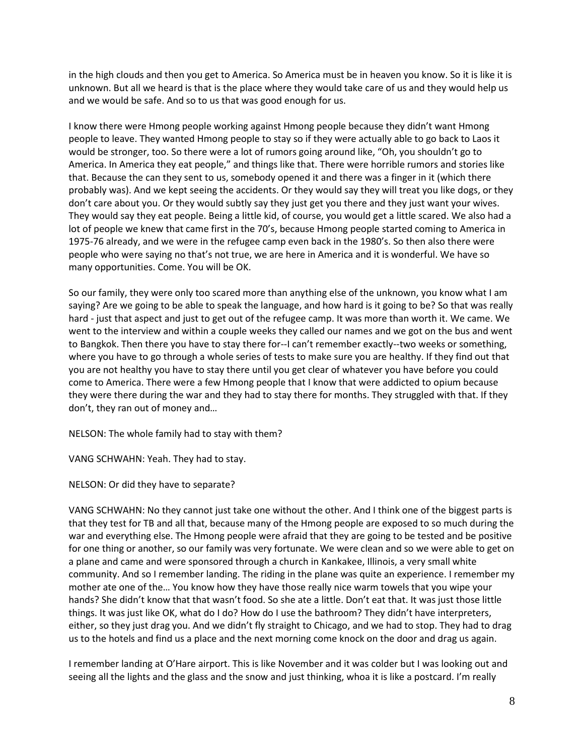in the high clouds and then you get to America. So America must be in heaven you know. So it is like it is unknown. But all we heard is that is the place where they would take care of us and they would help us and we would be safe. And so to us that was good enough for us.

I know there were Hmong people working against Hmong people because they didn't want Hmong people to leave. They wanted Hmong people to stay so if they were actually able to go back to Laos it would be stronger, too. So there were a lot of rumors going around like, "Oh, you shouldn't go to America. In America they eat people," and things like that. There were horrible rumors and stories like that. Because the can they sent to us, somebody opened it and there was a finger in it (which there probably was). And we kept seeing the accidents. Or they would say they will treat you like dogs, or they don't care about you. Or they would subtly say they just get you there and they just want your wives. They would say they eat people. Being a little kid, of course, you would get a little scared. We also had a lot of people we knew that came first in the 70's, because Hmong people started coming to America in 1975-76 already, and we were in the refugee camp even back in the 1980's. So then also there were people who were saying no that's not true, we are here in America and it is wonderful. We have so many opportunities. Come. You will be OK.

So our family, they were only too scared more than anything else of the unknown, you know what I am saying? Are we going to be able to speak the language, and how hard is it going to be? So that was really hard - just that aspect and just to get out of the refugee camp. It was more than worth it. We came. We went to the interview and within a couple weeks they called our names and we got on the bus and went to Bangkok. Then there you have to stay there for--I can't remember exactly--two weeks or something, where you have to go through a whole series of tests to make sure you are healthy. If they find out that you are not healthy you have to stay there until you get clear of whatever you have before you could come to America. There were a few Hmong people that I know that were addicted to opium because they were there during the war and they had to stay there for months. They struggled with that. If they don't, they ran out of money and…

NELSON: The whole family had to stay with them?

VANG SCHWAHN: Yeah. They had to stay.

NELSON: Or did they have to separate?

VANG SCHWAHN: No they cannot just take one without the other. And I think one of the biggest parts is that they test for TB and all that, because many of the Hmong people are exposed to so much during the war and everything else. The Hmong people were afraid that they are going to be tested and be positive for one thing or another, so our family was very fortunate. We were clean and so we were able to get on a plane and came and were sponsored through a church in Kankakee, Illinois, a very small white community. And so I remember landing. The riding in the plane was quite an experience. I remember my mother ate one of the… You know how they have those really nice warm towels that you wipe your hands? She didn't know that that wasn't food. So she ate a little. Don't eat that. It was just those little things. It was just like OK, what do I do? How do I use the bathroom? They didn't have interpreters, either, so they just drag you. And we didn't fly straight to Chicago, and we had to stop. They had to drag us to the hotels and find us a place and the next morning come knock on the door and drag us again.

I remember landing at O'Hare airport. This is like November and it was colder but I was looking out and seeing all the lights and the glass and the snow and just thinking, whoa it is like a postcard. I'm really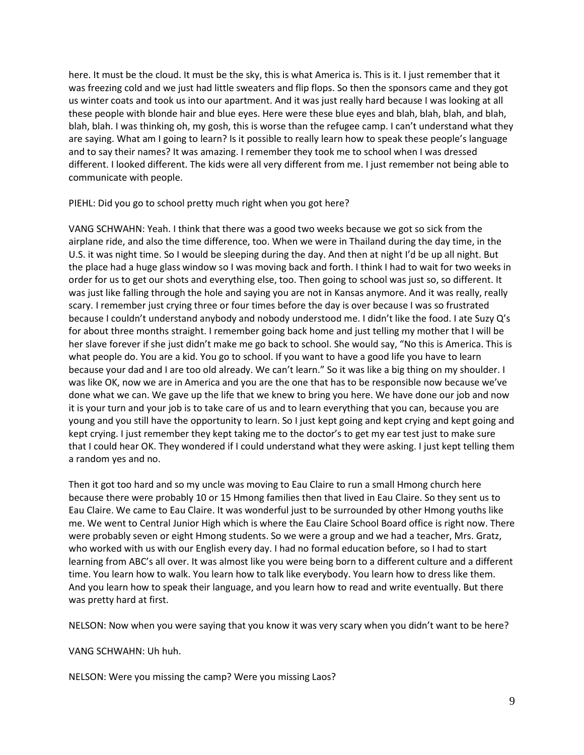here. It must be the cloud. It must be the sky, this is what America is. This is it. I just remember that it was freezing cold and we just had little sweaters and flip flops. So then the sponsors came and they got us winter coats and took us into our apartment. And it was just really hard because I was looking at all these people with blonde hair and blue eyes. Here were these blue eyes and blah, blah, blah, and blah, blah, blah. I was thinking oh, my gosh, this is worse than the refugee camp. I can't understand what they are saying. What am I going to learn? Is it possible to really learn how to speak these people's language and to say their names? It was amazing. I remember they took me to school when I was dressed different. I looked different. The kids were all very different from me. I just remember not being able to communicate with people.

PIEHL: Did you go to school pretty much right when you got here?

VANG SCHWAHN: Yeah. I think that there was a good two weeks because we got so sick from the airplane ride, and also the time difference, too. When we were in Thailand during the day time, in the U.S. it was night time. So I would be sleeping during the day. And then at night I'd be up all night. But the place had a huge glass window so I was moving back and forth. I think I had to wait for two weeks in order for us to get our shots and everything else, too. Then going to school was just so, so different. It was just like falling through the hole and saying you are not in Kansas anymore. And it was really, really scary. I remember just crying three or four times before the day is over because I was so frustrated because I couldn't understand anybody and nobody understood me. I didn't like the food. I ate Suzy Q's for about three months straight. I remember going back home and just telling my mother that I will be her slave forever if she just didn't make me go back to school. She would say, "No this is America. This is what people do. You are a kid. You go to school. If you want to have a good life you have to learn because your dad and I are too old already. We can't learn." So it was like a big thing on my shoulder. I was like OK, now we are in America and you are the one that has to be responsible now because we've done what we can. We gave up the life that we knew to bring you here. We have done our job and now it is your turn and your job is to take care of us and to learn everything that you can, because you are young and you still have the opportunity to learn. So I just kept going and kept crying and kept going and kept crying. I just remember they kept taking me to the doctor's to get my ear test just to make sure that I could hear OK. They wondered if I could understand what they were asking. I just kept telling them a random yes and no.

Then it got too hard and so my uncle was moving to Eau Claire to run a small Hmong church here because there were probably 10 or 15 Hmong families then that lived in Eau Claire. So they sent us to Eau Claire. We came to Eau Claire. It was wonderful just to be surrounded by other Hmong youths like me. We went to Central Junior High which is where the Eau Claire School Board office is right now. There were probably seven or eight Hmong students. So we were a group and we had a teacher, Mrs. Gratz, who worked with us with our English every day. I had no formal education before, so I had to start learning from ABC's all over. It was almost like you were being born to a different culture and a different time. You learn how to walk. You learn how to talk like everybody. You learn how to dress like them. And you learn how to speak their language, and you learn how to read and write eventually. But there was pretty hard at first.

NELSON: Now when you were saying that you know it was very scary when you didn't want to be here?

VANG SCHWAHN: Uh huh.

NELSON: Were you missing the camp? Were you missing Laos?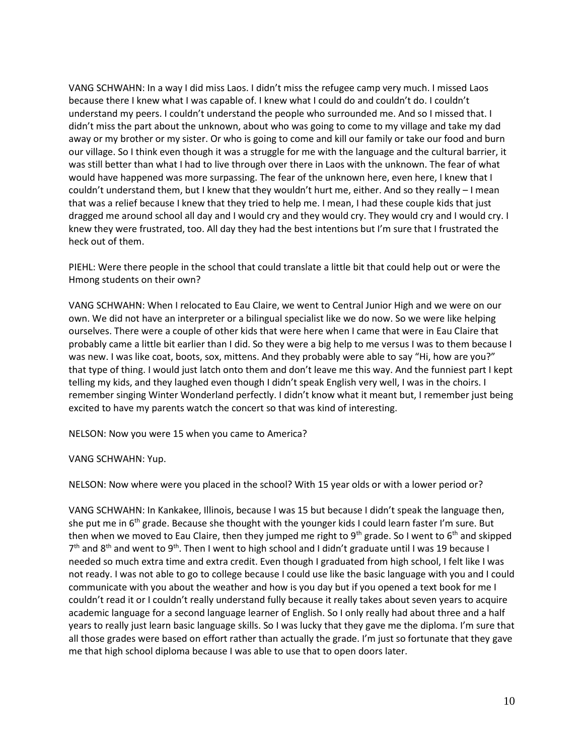VANG SCHWAHN: In a way I did miss Laos. I didn't miss the refugee camp very much. I missed Laos because there I knew what I was capable of. I knew what I could do and couldn't do. I couldn't understand my peers. I couldn't understand the people who surrounded me. And so I missed that. I didn't miss the part about the unknown, about who was going to come to my village and take my dad away or my brother or my sister. Or who is going to come and kill our family or take our food and burn our village. So I think even though it was a struggle for me with the language and the cultural barrier, it was still better than what I had to live through over there in Laos with the unknown. The fear of what would have happened was more surpassing. The fear of the unknown here, even here, I knew that I couldn't understand them, but I knew that they wouldn't hurt me, either. And so they really – I mean that was a relief because I knew that they tried to help me. I mean, I had these couple kids that just dragged me around school all day and I would cry and they would cry. They would cry and I would cry. I knew they were frustrated, too. All day they had the best intentions but I'm sure that I frustrated the heck out of them.

PIEHL: Were there people in the school that could translate a little bit that could help out or were the Hmong students on their own?

VANG SCHWAHN: When I relocated to Eau Claire, we went to Central Junior High and we were on our own. We did not have an interpreter or a bilingual specialist like we do now. So we were like helping ourselves. There were a couple of other kids that were here when I came that were in Eau Claire that probably came a little bit earlier than I did. So they were a big help to me versus I was to them because I was new. I was like coat, boots, sox, mittens. And they probably were able to say "Hi, how are you?" that type of thing. I would just latch onto them and don't leave me this way. And the funniest part I kept telling my kids, and they laughed even though I didn't speak English very well, I was in the choirs. I remember singing Winter Wonderland perfectly. I didn't know what it meant but, I remember just being excited to have my parents watch the concert so that was kind of interesting.

NELSON: Now you were 15 when you came to America?

VANG SCHWAHN: Yup.

NELSON: Now where were you placed in the school? With 15 year olds or with a lower period or?

VANG SCHWAHN: In Kankakee, Illinois, because I was 15 but because I didn't speak the language then, she put me in  $6<sup>th</sup>$  grade. Because she thought with the younger kids I could learn faster I'm sure. But then when we moved to Eau Claire, then they jumped me right to 9<sup>th</sup> grade. So I went to 6<sup>th</sup> and skipped  $7<sup>th</sup>$  and 8<sup>th</sup> and went to 9<sup>th</sup>. Then I went to high school and I didn't graduate until I was 19 because I needed so much extra time and extra credit. Even though I graduated from high school, I felt like I was not ready. I was not able to go to college because I could use like the basic language with you and I could communicate with you about the weather and how is you day but if you opened a text book for me I couldn't read it or I couldn't really understand fully because it really takes about seven years to acquire academic language for a second language learner of English. So I only really had about three and a half years to really just learn basic language skills. So I was lucky that they gave me the diploma. I'm sure that all those grades were based on effort rather than actually the grade. I'm just so fortunate that they gave me that high school diploma because I was able to use that to open doors later.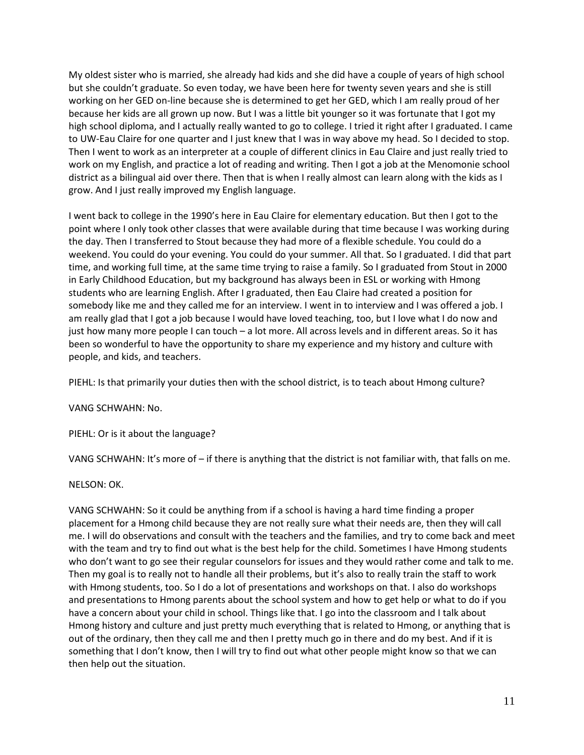My oldest sister who is married, she already had kids and she did have a couple of years of high school but she couldn't graduate. So even today, we have been here for twenty seven years and she is still working on her GED on-line because she is determined to get her GED, which I am really proud of her because her kids are all grown up now. But I was a little bit younger so it was fortunate that I got my high school diploma, and I actually really wanted to go to college. I tried it right after I graduated. I came to UW-Eau Claire for one quarter and I just knew that I was in way above my head. So I decided to stop. Then I went to work as an interpreter at a couple of different clinics in Eau Claire and just really tried to work on my English, and practice a lot of reading and writing. Then I got a job at the Menomonie school district as a bilingual aid over there. Then that is when I really almost can learn along with the kids as I grow. And I just really improved my English language.

I went back to college in the 1990's here in Eau Claire for elementary education. But then I got to the point where I only took other classes that were available during that time because I was working during the day. Then I transferred to Stout because they had more of a flexible schedule. You could do a weekend. You could do your evening. You could do your summer. All that. So I graduated. I did that part time, and working full time, at the same time trying to raise a family. So I graduated from Stout in 2000 in Early Childhood Education, but my background has always been in ESL or working with Hmong students who are learning English. After I graduated, then Eau Claire had created a position for somebody like me and they called me for an interview. I went in to interview and I was offered a job. I am really glad that I got a job because I would have loved teaching, too, but I love what I do now and just how many more people I can touch – a lot more. All across levels and in different areas. So it has been so wonderful to have the opportunity to share my experience and my history and culture with people, and kids, and teachers.

PIEHL: Is that primarily your duties then with the school district, is to teach about Hmong culture?

VANG SCHWAHN: No.

PIEHL: Or is it about the language?

VANG SCHWAHN: It's more of – if there is anything that the district is not familiar with, that falls on me.

NELSON: OK.

VANG SCHWAHN: So it could be anything from if a school is having a hard time finding a proper placement for a Hmong child because they are not really sure what their needs are, then they will call me. I will do observations and consult with the teachers and the families, and try to come back and meet with the team and try to find out what is the best help for the child. Sometimes I have Hmong students who don't want to go see their regular counselors for issues and they would rather come and talk to me. Then my goal is to really not to handle all their problems, but it's also to really train the staff to work with Hmong students, too. So I do a lot of presentations and workshops on that. I also do workshops and presentations to Hmong parents about the school system and how to get help or what to do if you have a concern about your child in school. Things like that. I go into the classroom and I talk about Hmong history and culture and just pretty much everything that is related to Hmong, or anything that is out of the ordinary, then they call me and then I pretty much go in there and do my best. And if it is something that I don't know, then I will try to find out what other people might know so that we can then help out the situation.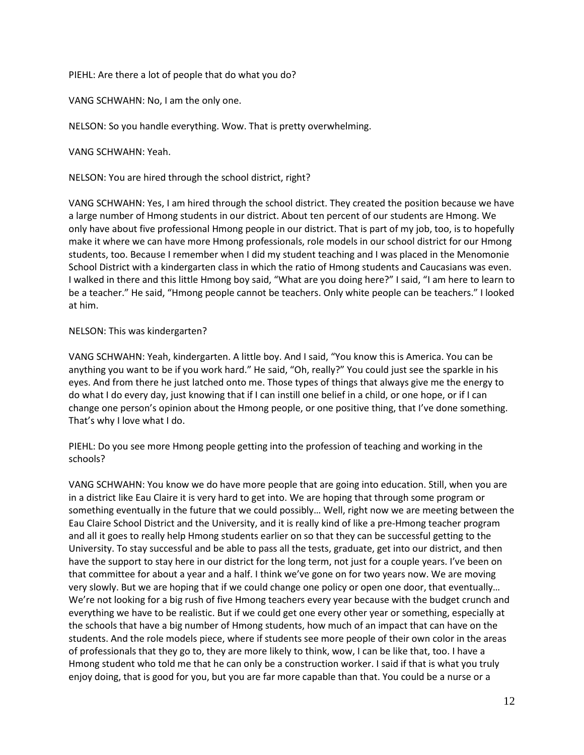PIEHL: Are there a lot of people that do what you do?

VANG SCHWAHN: No, I am the only one.

NELSON: So you handle everything. Wow. That is pretty overwhelming.

VANG SCHWAHN: Yeah.

NELSON: You are hired through the school district, right?

VANG SCHWAHN: Yes, I am hired through the school district. They created the position because we have a large number of Hmong students in our district. About ten percent of our students are Hmong. We only have about five professional Hmong people in our district. That is part of my job, too, is to hopefully make it where we can have more Hmong professionals, role models in our school district for our Hmong students, too. Because I remember when I did my student teaching and I was placed in the Menomonie School District with a kindergarten class in which the ratio of Hmong students and Caucasians was even. I walked in there and this little Hmong boy said, "What are you doing here?" I said, "I am here to learn to be a teacher." He said, "Hmong people cannot be teachers. Only white people can be teachers." I looked at him.

# NELSON: This was kindergarten?

VANG SCHWAHN: Yeah, kindergarten. A little boy. And I said, "You know this is America. You can be anything you want to be if you work hard." He said, "Oh, really?" You could just see the sparkle in his eyes. And from there he just latched onto me. Those types of things that always give me the energy to do what I do every day, just knowing that if I can instill one belief in a child, or one hope, or if I can change one person's opinion about the Hmong people, or one positive thing, that I've done something. That's why I love what I do.

PIEHL: Do you see more Hmong people getting into the profession of teaching and working in the schools?

VANG SCHWAHN: You know we do have more people that are going into education. Still, when you are in a district like Eau Claire it is very hard to get into. We are hoping that through some program or something eventually in the future that we could possibly… Well, right now we are meeting between the Eau Claire School District and the University, and it is really kind of like a pre-Hmong teacher program and all it goes to really help Hmong students earlier on so that they can be successful getting to the University. To stay successful and be able to pass all the tests, graduate, get into our district, and then have the support to stay here in our district for the long term, not just for a couple years. I've been on that committee for about a year and a half. I think we've gone on for two years now. We are moving very slowly. But we are hoping that if we could change one policy or open one door, that eventually… We're not looking for a big rush of five Hmong teachers every year because with the budget crunch and everything we have to be realistic. But if we could get one every other year or something, especially at the schools that have a big number of Hmong students, how much of an impact that can have on the students. And the role models piece, where if students see more people of their own color in the areas of professionals that they go to, they are more likely to think, wow, I can be like that, too. I have a Hmong student who told me that he can only be a construction worker. I said if that is what you truly enjoy doing, that is good for you, but you are far more capable than that. You could be a nurse or a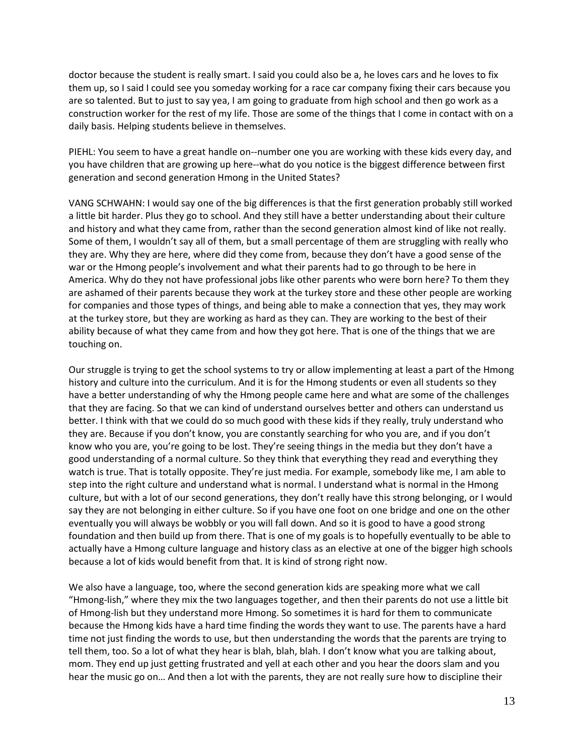doctor because the student is really smart. I said you could also be a, he loves cars and he loves to fix them up, so I said I could see you someday working for a race car company fixing their cars because you are so talented. But to just to say yea, I am going to graduate from high school and then go work as a construction worker for the rest of my life. Those are some of the things that I come in contact with on a daily basis. Helping students believe in themselves.

PIEHL: You seem to have a great handle on--number one you are working with these kids every day, and you have children that are growing up here--what do you notice is the biggest difference between first generation and second generation Hmong in the United States?

VANG SCHWAHN: I would say one of the big differences is that the first generation probably still worked a little bit harder. Plus they go to school. And they still have a better understanding about their culture and history and what they came from, rather than the second generation almost kind of like not really. Some of them, I wouldn't say all of them, but a small percentage of them are struggling with really who they are. Why they are here, where did they come from, because they don't have a good sense of the war or the Hmong people's involvement and what their parents had to go through to be here in America. Why do they not have professional jobs like other parents who were born here? To them they are ashamed of their parents because they work at the turkey store and these other people are working for companies and those types of things, and being able to make a connection that yes, they may work at the turkey store, but they are working as hard as they can. They are working to the best of their ability because of what they came from and how they got here. That is one of the things that we are touching on.

Our struggle is trying to get the school systems to try or allow implementing at least a part of the Hmong history and culture into the curriculum. And it is for the Hmong students or even all students so they have a better understanding of why the Hmong people came here and what are some of the challenges that they are facing. So that we can kind of understand ourselves better and others can understand us better. I think with that we could do so much good with these kids if they really, truly understand who they are. Because if you don't know, you are constantly searching for who you are, and if you don't know who you are, you're going to be lost. They're seeing things in the media but they don't have a good understanding of a normal culture. So they think that everything they read and everything they watch is true. That is totally opposite. They're just media. For example, somebody like me, I am able to step into the right culture and understand what is normal. I understand what is normal in the Hmong culture, but with a lot of our second generations, they don't really have this strong belonging, or I would say they are not belonging in either culture. So if you have one foot on one bridge and one on the other eventually you will always be wobbly or you will fall down. And so it is good to have a good strong foundation and then build up from there. That is one of my goals is to hopefully eventually to be able to actually have a Hmong culture language and history class as an elective at one of the bigger high schools because a lot of kids would benefit from that. It is kind of strong right now.

We also have a language, too, where the second generation kids are speaking more what we call "Hmong-lish," where they mix the two languages together, and then their parents do not use a little bit of Hmong-lish but they understand more Hmong. So sometimes it is hard for them to communicate because the Hmong kids have a hard time finding the words they want to use. The parents have a hard time not just finding the words to use, but then understanding the words that the parents are trying to tell them, too. So a lot of what they hear is blah, blah, blah. I don't know what you are talking about, mom. They end up just getting frustrated and yell at each other and you hear the doors slam and you hear the music go on… And then a lot with the parents, they are not really sure how to discipline their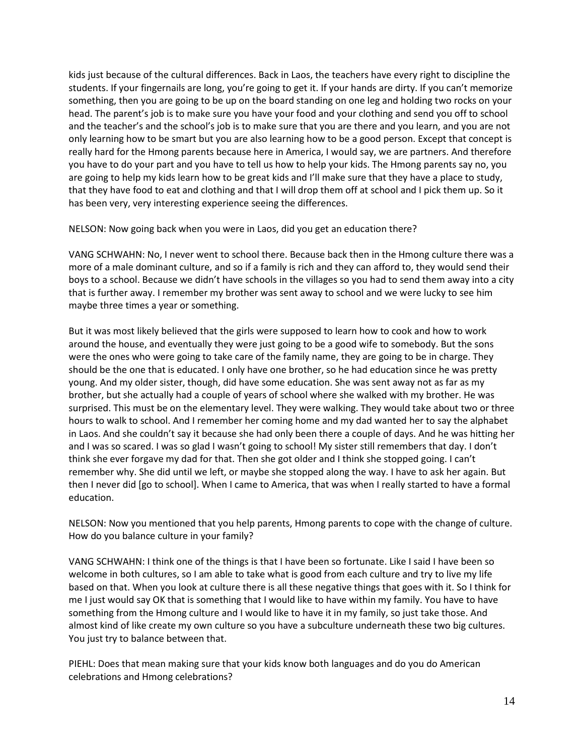kids just because of the cultural differences. Back in Laos, the teachers have every right to discipline the students. If your fingernails are long, you're going to get it. If your hands are dirty. If you can't memorize something, then you are going to be up on the board standing on one leg and holding two rocks on your head. The parent's job is to make sure you have your food and your clothing and send you off to school and the teacher's and the school's job is to make sure that you are there and you learn, and you are not only learning how to be smart but you are also learning how to be a good person. Except that concept is really hard for the Hmong parents because here in America, I would say, we are partners. And therefore you have to do your part and you have to tell us how to help your kids. The Hmong parents say no, you are going to help my kids learn how to be great kids and I'll make sure that they have a place to study, that they have food to eat and clothing and that I will drop them off at school and I pick them up. So it has been very, very interesting experience seeing the differences.

NELSON: Now going back when you were in Laos, did you get an education there?

VANG SCHWAHN: No, I never went to school there. Because back then in the Hmong culture there was a more of a male dominant culture, and so if a family is rich and they can afford to, they would send their boys to a school. Because we didn't have schools in the villages so you had to send them away into a city that is further away. I remember my brother was sent away to school and we were lucky to see him maybe three times a year or something.

But it was most likely believed that the girls were supposed to learn how to cook and how to work around the house, and eventually they were just going to be a good wife to somebody. But the sons were the ones who were going to take care of the family name, they are going to be in charge. They should be the one that is educated. I only have one brother, so he had education since he was pretty young. And my older sister, though, did have some education. She was sent away not as far as my brother, but she actually had a couple of years of school where she walked with my brother. He was surprised. This must be on the elementary level. They were walking. They would take about two or three hours to walk to school. And I remember her coming home and my dad wanted her to say the alphabet in Laos. And she couldn't say it because she had only been there a couple of days. And he was hitting her and I was so scared. I was so glad I wasn't going to school! My sister still remembers that day. I don't think she ever forgave my dad for that. Then she got older and I think she stopped going. I can't remember why. She did until we left, or maybe she stopped along the way. I have to ask her again. But then I never did [go to school]. When I came to America, that was when I really started to have a formal education.

NELSON: Now you mentioned that you help parents, Hmong parents to cope with the change of culture. How do you balance culture in your family?

VANG SCHWAHN: I think one of the things is that I have been so fortunate. Like I said I have been so welcome in both cultures, so I am able to take what is good from each culture and try to live my life based on that. When you look at culture there is all these negative things that goes with it. So I think for me I just would say OK that is something that I would like to have within my family. You have to have something from the Hmong culture and I would like to have it in my family, so just take those. And almost kind of like create my own culture so you have a subculture underneath these two big cultures. You just try to balance between that.

PIEHL: Does that mean making sure that your kids know both languages and do you do American celebrations and Hmong celebrations?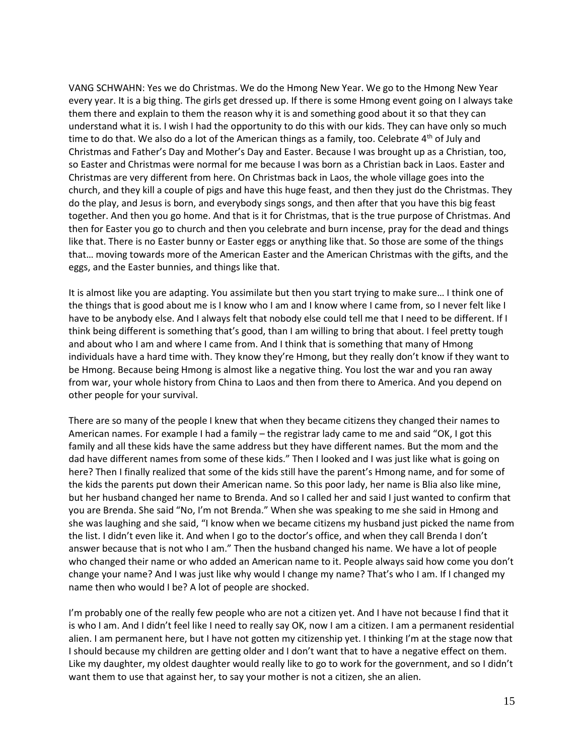VANG SCHWAHN: Yes we do Christmas. We do the Hmong New Year. We go to the Hmong New Year every year. It is a big thing. The girls get dressed up. If there is some Hmong event going on I always take them there and explain to them the reason why it is and something good about it so that they can understand what it is. I wish I had the opportunity to do this with our kids. They can have only so much time to do that. We also do a lot of the American things as a family, too. Celebrate  $4<sup>th</sup>$  of July and Christmas and Father's Day and Mother's Day and Easter. Because I was brought up as a Christian, too, so Easter and Christmas were normal for me because I was born as a Christian back in Laos. Easter and Christmas are very different from here. On Christmas back in Laos, the whole village goes into the church, and they kill a couple of pigs and have this huge feast, and then they just do the Christmas. They do the play, and Jesus is born, and everybody sings songs, and then after that you have this big feast together. And then you go home. And that is it for Christmas, that is the true purpose of Christmas. And then for Easter you go to church and then you celebrate and burn incense, pray for the dead and things like that. There is no Easter bunny or Easter eggs or anything like that. So those are some of the things that… moving towards more of the American Easter and the American Christmas with the gifts, and the eggs, and the Easter bunnies, and things like that.

It is almost like you are adapting. You assimilate but then you start trying to make sure… I think one of the things that is good about me is I know who I am and I know where I came from, so I never felt like I have to be anybody else. And I always felt that nobody else could tell me that I need to be different. If I think being different is something that's good, than I am willing to bring that about. I feel pretty tough and about who I am and where I came from. And I think that is something that many of Hmong individuals have a hard time with. They know they're Hmong, but they really don't know if they want to be Hmong. Because being Hmong is almost like a negative thing. You lost the war and you ran away from war, your whole history from China to Laos and then from there to America. And you depend on other people for your survival.

There are so many of the people I knew that when they became citizens they changed their names to American names. For example I had a family – the registrar lady came to me and said "OK, I got this family and all these kids have the same address but they have different names. But the mom and the dad have different names from some of these kids." Then I looked and I was just like what is going on here? Then I finally realized that some of the kids still have the parent's Hmong name, and for some of the kids the parents put down their American name. So this poor lady, her name is Blia also like mine, but her husband changed her name to Brenda. And so I called her and said I just wanted to confirm that you are Brenda. She said "No, I'm not Brenda." When she was speaking to me she said in Hmong and she was laughing and she said, "I know when we became citizens my husband just picked the name from the list. I didn't even like it. And when I go to the doctor's office, and when they call Brenda I don't answer because that is not who I am." Then the husband changed his name. We have a lot of people who changed their name or who added an American name to it. People always said how come you don't change your name? And I was just like why would I change my name? That's who I am. If I changed my name then who would I be? A lot of people are shocked.

I'm probably one of the really few people who are not a citizen yet. And I have not because I find that it is who I am. And I didn't feel like I need to really say OK, now I am a citizen. I am a permanent residential alien. I am permanent here, but I have not gotten my citizenship yet. I thinking I'm at the stage now that I should because my children are getting older and I don't want that to have a negative effect on them. Like my daughter, my oldest daughter would really like to go to work for the government, and so I didn't want them to use that against her, to say your mother is not a citizen, she an alien.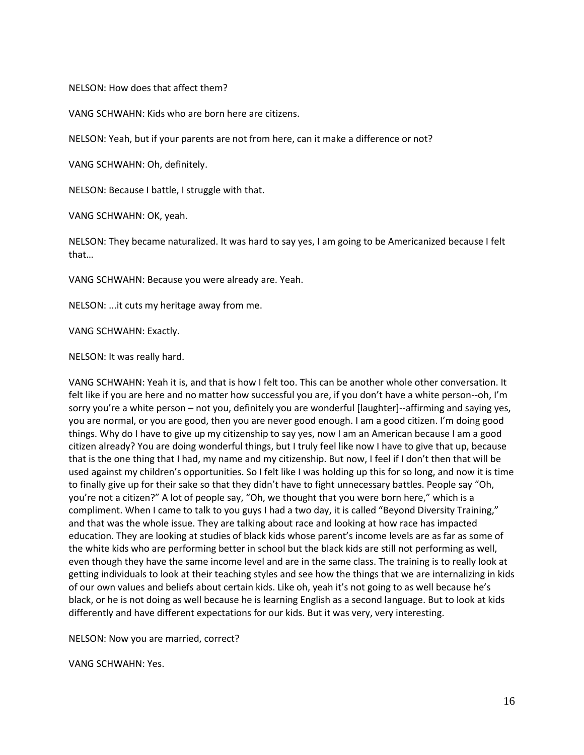NELSON: How does that affect them?

VANG SCHWAHN: Kids who are born here are citizens.

NELSON: Yeah, but if your parents are not from here, can it make a difference or not?

VANG SCHWAHN: Oh, definitely.

NELSON: Because I battle, I struggle with that.

VANG SCHWAHN: OK, yeah.

NELSON: They became naturalized. It was hard to say yes, I am going to be Americanized because I felt that…

VANG SCHWAHN: Because you were already are. Yeah.

NELSON: ...it cuts my heritage away from me.

VANG SCHWAHN: Exactly.

NELSON: It was really hard.

VANG SCHWAHN: Yeah it is, and that is how I felt too. This can be another whole other conversation. It felt like if you are here and no matter how successful you are, if you don't have a white person--oh, I'm sorry you're a white person – not you, definitely you are wonderful [laughter]--affirming and saying yes, you are normal, or you are good, then you are never good enough. I am a good citizen. I'm doing good things. Why do I have to give up my citizenship to say yes, now I am an American because I am a good citizen already? You are doing wonderful things, but I truly feel like now I have to give that up, because that is the one thing that I had, my name and my citizenship. But now, I feel if I don't then that will be used against my children's opportunities. So I felt like I was holding up this for so long, and now it is time to finally give up for their sake so that they didn't have to fight unnecessary battles. People say "Oh, you're not a citizen?" A lot of people say, "Oh, we thought that you were born here," which is a compliment. When I came to talk to you guys I had a two day, it is called "Beyond Diversity Training," and that was the whole issue. They are talking about race and looking at how race has impacted education. They are looking at studies of black kids whose parent's income levels are as far as some of the white kids who are performing better in school but the black kids are still not performing as well, even though they have the same income level and are in the same class. The training is to really look at getting individuals to look at their teaching styles and see how the things that we are internalizing in kids of our own values and beliefs about certain kids. Like oh, yeah it's not going to as well because he's black, or he is not doing as well because he is learning English as a second language. But to look at kids differently and have different expectations for our kids. But it was very, very interesting.

NELSON: Now you are married, correct?

VANG SCHWAHN: Yes.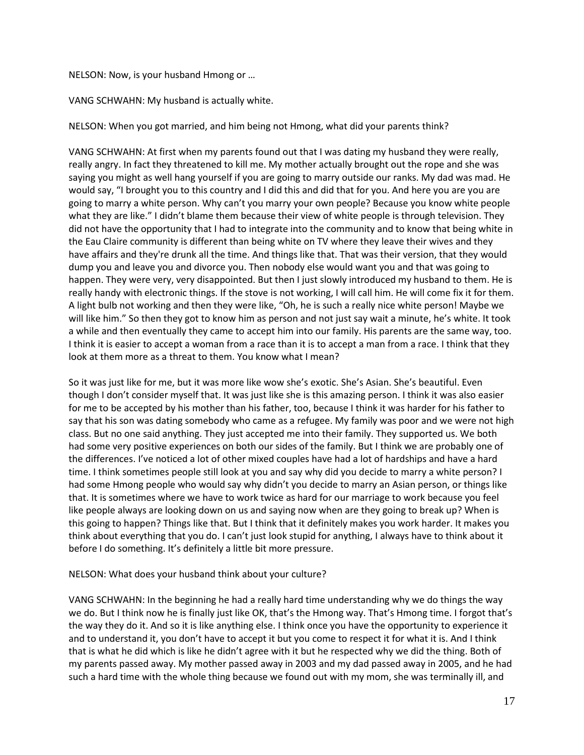## NELSON: Now, is your husband Hmong or …

VANG SCHWAHN: My husband is actually white.

NELSON: When you got married, and him being not Hmong, what did your parents think?

VANG SCHWAHN: At first when my parents found out that I was dating my husband they were really, really angry. In fact they threatened to kill me. My mother actually brought out the rope and she was saying you might as well hang yourself if you are going to marry outside our ranks. My dad was mad. He would say, "I brought you to this country and I did this and did that for you. And here you are you are going to marry a white person. Why can't you marry your own people? Because you know white people what they are like." I didn't blame them because their view of white people is through television. They did not have the opportunity that I had to integrate into the community and to know that being white in the Eau Claire community is different than being white on TV where they leave their wives and they have affairs and they're drunk all the time. And things like that. That was their version, that they would dump you and leave you and divorce you. Then nobody else would want you and that was going to happen. They were very, very disappointed. But then I just slowly introduced my husband to them. He is really handy with electronic things. If the stove is not working, I will call him. He will come fix it for them. A light bulb not working and then they were like, "Oh, he is such a really nice white person! Maybe we will like him." So then they got to know him as person and not just say wait a minute, he's white. It took a while and then eventually they came to accept him into our family. His parents are the same way, too. I think it is easier to accept a woman from a race than it is to accept a man from a race. I think that they look at them more as a threat to them. You know what I mean?

So it was just like for me, but it was more like wow she's exotic. She's Asian. She's beautiful. Even though I don't consider myself that. It was just like she is this amazing person. I think it was also easier for me to be accepted by his mother than his father, too, because I think it was harder for his father to say that his son was dating somebody who came as a refugee. My family was poor and we were not high class. But no one said anything. They just accepted me into their family. They supported us. We both had some very positive experiences on both our sides of the family. But I think we are probably one of the differences. I've noticed a lot of other mixed couples have had a lot of hardships and have a hard time. I think sometimes people still look at you and say why did you decide to marry a white person? I had some Hmong people who would say why didn't you decide to marry an Asian person, or things like that. It is sometimes where we have to work twice as hard for our marriage to work because you feel like people always are looking down on us and saying now when are they going to break up? When is this going to happen? Things like that. But I think that it definitely makes you work harder. It makes you think about everything that you do. I can't just look stupid for anything, I always have to think about it before I do something. It's definitely a little bit more pressure.

#### NELSON: What does your husband think about your culture?

VANG SCHWAHN: In the beginning he had a really hard time understanding why we do things the way we do. But I think now he is finally just like OK, that's the Hmong way. That's Hmong time. I forgot that's the way they do it. And so it is like anything else. I think once you have the opportunity to experience it and to understand it, you don't have to accept it but you come to respect it for what it is. And I think that is what he did which is like he didn't agree with it but he respected why we did the thing. Both of my parents passed away. My mother passed away in 2003 and my dad passed away in 2005, and he had such a hard time with the whole thing because we found out with my mom, she was terminally ill, and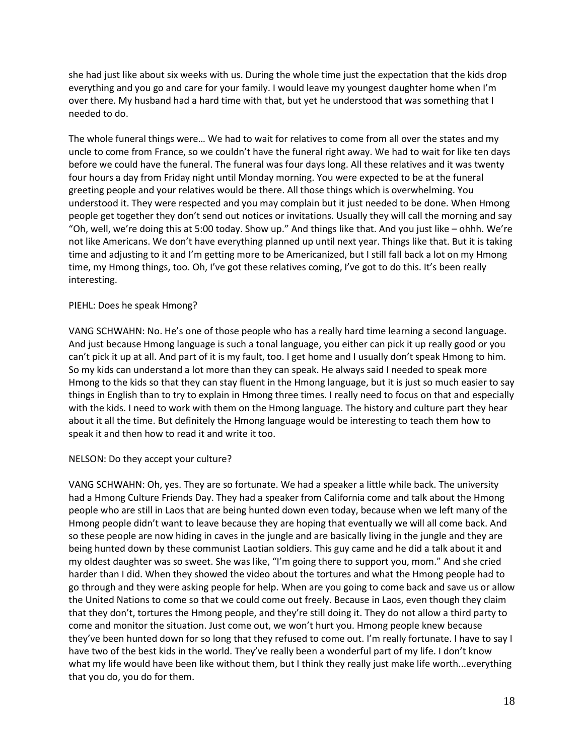she had just like about six weeks with us. During the whole time just the expectation that the kids drop everything and you go and care for your family. I would leave my youngest daughter home when I'm over there. My husband had a hard time with that, but yet he understood that was something that I needed to do.

The whole funeral things were… We had to wait for relatives to come from all over the states and my uncle to come from France, so we couldn't have the funeral right away. We had to wait for like ten days before we could have the funeral. The funeral was four days long. All these relatives and it was twenty four hours a day from Friday night until Monday morning. You were expected to be at the funeral greeting people and your relatives would be there. All those things which is overwhelming. You understood it. They were respected and you may complain but it just needed to be done. When Hmong people get together they don't send out notices or invitations. Usually they will call the morning and say "Oh, well, we're doing this at 5:00 today. Show up." And things like that. And you just like – ohhh. We're not like Americans. We don't have everything planned up until next year. Things like that. But it is taking time and adjusting to it and I'm getting more to be Americanized, but I still fall back a lot on my Hmong time, my Hmong things, too. Oh, I've got these relatives coming, I've got to do this. It's been really interesting.

# PIEHL: Does he speak Hmong?

VANG SCHWAHN: No. He's one of those people who has a really hard time learning a second language. And just because Hmong language is such a tonal language, you either can pick it up really good or you can't pick it up at all. And part of it is my fault, too. I get home and I usually don't speak Hmong to him. So my kids can understand a lot more than they can speak. He always said I needed to speak more Hmong to the kids so that they can stay fluent in the Hmong language, but it is just so much easier to say things in English than to try to explain in Hmong three times. I really need to focus on that and especially with the kids. I need to work with them on the Hmong language. The history and culture part they hear about it all the time. But definitely the Hmong language would be interesting to teach them how to speak it and then how to read it and write it too.

# NELSON: Do they accept your culture?

VANG SCHWAHN: Oh, yes. They are so fortunate. We had a speaker a little while back. The university had a Hmong Culture Friends Day. They had a speaker from California come and talk about the Hmong people who are still in Laos that are being hunted down even today, because when we left many of the Hmong people didn't want to leave because they are hoping that eventually we will all come back. And so these people are now hiding in caves in the jungle and are basically living in the jungle and they are being hunted down by these communist Laotian soldiers. This guy came and he did a talk about it and my oldest daughter was so sweet. She was like, "I'm going there to support you, mom." And she cried harder than I did. When they showed the video about the tortures and what the Hmong people had to go through and they were asking people for help. When are you going to come back and save us or allow the United Nations to come so that we could come out freely. Because in Laos, even though they claim that they don't, tortures the Hmong people, and they're still doing it. They do not allow a third party to come and monitor the situation. Just come out, we won't hurt you. Hmong people knew because they've been hunted down for so long that they refused to come out. I'm really fortunate. I have to say I have two of the best kids in the world. They've really been a wonderful part of my life. I don't know what my life would have been like without them, but I think they really just make life worth...everything that you do, you do for them.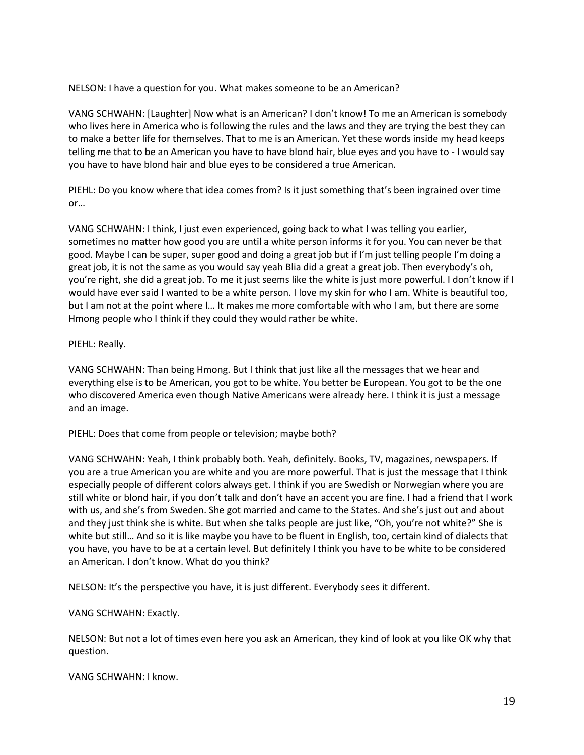NELSON: I have a question for you. What makes someone to be an American?

VANG SCHWAHN: [Laughter] Now what is an American? I don't know! To me an American is somebody who lives here in America who is following the rules and the laws and they are trying the best they can to make a better life for themselves. That to me is an American. Yet these words inside my head keeps telling me that to be an American you have to have blond hair, blue eyes and you have to - I would say you have to have blond hair and blue eyes to be considered a true American.

PIEHL: Do you know where that idea comes from? Is it just something that's been ingrained over time or…

VANG SCHWAHN: I think, I just even experienced, going back to what I was telling you earlier, sometimes no matter how good you are until a white person informs it for you. You can never be that good. Maybe I can be super, super good and doing a great job but if I'm just telling people I'm doing a great job, it is not the same as you would say yeah Blia did a great a great job. Then everybody's oh, you're right, she did a great job. To me it just seems like the white is just more powerful. I don't know if I would have ever said I wanted to be a white person. I love my skin for who I am. White is beautiful too, but I am not at the point where I… It makes me more comfortable with who I am, but there are some Hmong people who I think if they could they would rather be white.

# PIEHL: Really.

VANG SCHWAHN: Than being Hmong. But I think that just like all the messages that we hear and everything else is to be American, you got to be white. You better be European. You got to be the one who discovered America even though Native Americans were already here. I think it is just a message and an image.

PIEHL: Does that come from people or television; maybe both?

VANG SCHWAHN: Yeah, I think probably both. Yeah, definitely. Books, TV, magazines, newspapers. If you are a true American you are white and you are more powerful. That is just the message that I think especially people of different colors always get. I think if you are Swedish or Norwegian where you are still white or blond hair, if you don't talk and don't have an accent you are fine. I had a friend that I work with us, and she's from Sweden. She got married and came to the States. And she's just out and about and they just think she is white. But when she talks people are just like, "Oh, you're not white?" She is white but still… And so it is like maybe you have to be fluent in English, too, certain kind of dialects that you have, you have to be at a certain level. But definitely I think you have to be white to be considered an American. I don't know. What do you think?

NELSON: It's the perspective you have, it is just different. Everybody sees it different.

# VANG SCHWAHN: Exactly.

NELSON: But not a lot of times even here you ask an American, they kind of look at you like OK why that question.

VANG SCHWAHN: I know.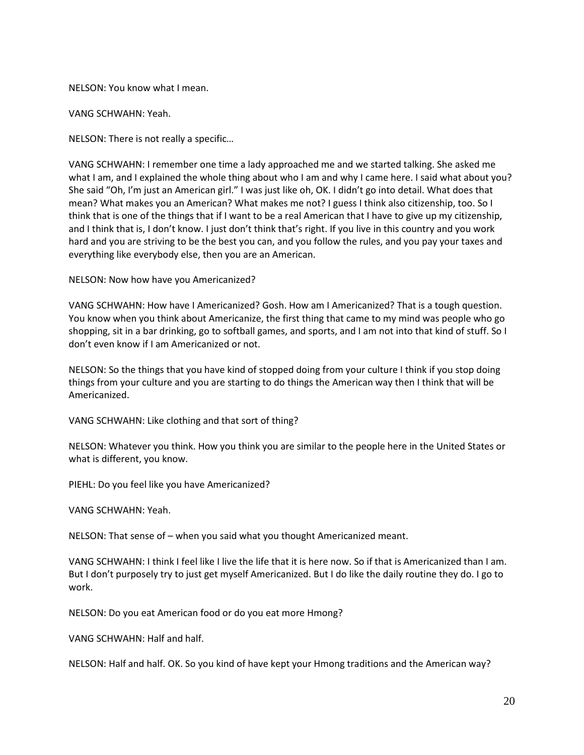NELSON: You know what I mean.

VANG SCHWAHN: Yeah.

NELSON: There is not really a specific…

VANG SCHWAHN: I remember one time a lady approached me and we started talking. She asked me what I am, and I explained the whole thing about who I am and why I came here. I said what about you? She said "Oh, I'm just an American girl." I was just like oh, OK. I didn't go into detail. What does that mean? What makes you an American? What makes me not? I guess I think also citizenship, too. So I think that is one of the things that if I want to be a real American that I have to give up my citizenship, and I think that is, I don't know. I just don't think that's right. If you live in this country and you work hard and you are striving to be the best you can, and you follow the rules, and you pay your taxes and everything like everybody else, then you are an American.

NELSON: Now how have you Americanized?

VANG SCHWAHN: How have I Americanized? Gosh. How am I Americanized? That is a tough question. You know when you think about Americanize, the first thing that came to my mind was people who go shopping, sit in a bar drinking, go to softball games, and sports, and I am not into that kind of stuff. So I don't even know if I am Americanized or not.

NELSON: So the things that you have kind of stopped doing from your culture I think if you stop doing things from your culture and you are starting to do things the American way then I think that will be Americanized.

VANG SCHWAHN: Like clothing and that sort of thing?

NELSON: Whatever you think. How you think you are similar to the people here in the United States or what is different, you know.

PIEHL: Do you feel like you have Americanized?

VANG SCHWAHN: Yeah.

NELSON: That sense of – when you said what you thought Americanized meant.

VANG SCHWAHN: I think I feel like I live the life that it is here now. So if that is Americanized than I am. But I don't purposely try to just get myself Americanized. But I do like the daily routine they do. I go to work.

NELSON: Do you eat American food or do you eat more Hmong?

VANG SCHWAHN: Half and half.

NELSON: Half and half. OK. So you kind of have kept your Hmong traditions and the American way?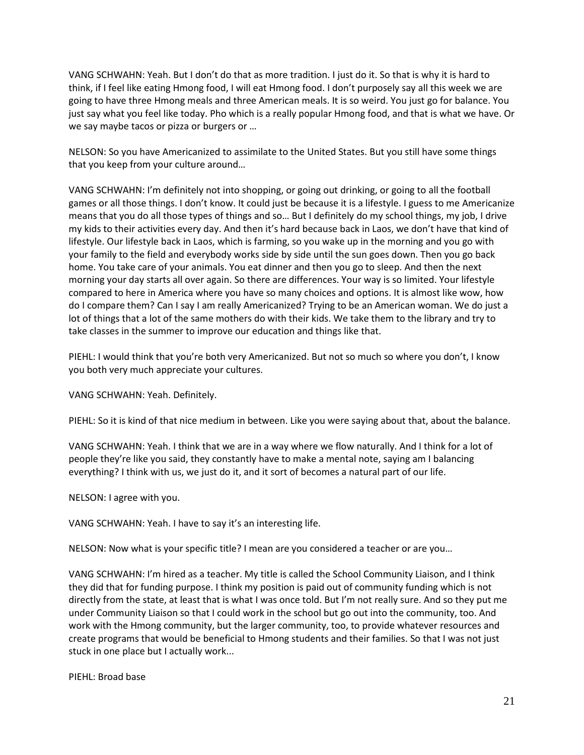VANG SCHWAHN: Yeah. But I don't do that as more tradition. I just do it. So that is why it is hard to think, if I feel like eating Hmong food, I will eat Hmong food. I don't purposely say all this week we are going to have three Hmong meals and three American meals. It is so weird. You just go for balance. You just say what you feel like today. Pho which is a really popular Hmong food, and that is what we have. Or we say maybe tacos or pizza or burgers or ...

NELSON: So you have Americanized to assimilate to the United States. But you still have some things that you keep from your culture around…

VANG SCHWAHN: I'm definitely not into shopping, or going out drinking, or going to all the football games or all those things. I don't know. It could just be because it is a lifestyle. I guess to me Americanize means that you do all those types of things and so… But I definitely do my school things, my job, I drive my kids to their activities every day. And then it's hard because back in Laos, we don't have that kind of lifestyle. Our lifestyle back in Laos, which is farming, so you wake up in the morning and you go with your family to the field and everybody works side by side until the sun goes down. Then you go back home. You take care of your animals. You eat dinner and then you go to sleep. And then the next morning your day starts all over again. So there are differences. Your way is so limited. Your lifestyle compared to here in America where you have so many choices and options. It is almost like wow, how do I compare them? Can I say I am really Americanized? Trying to be an American woman. We do just a lot of things that a lot of the same mothers do with their kids. We take them to the library and try to take classes in the summer to improve our education and things like that.

PIEHL: I would think that you're both very Americanized. But not so much so where you don't, I know you both very much appreciate your cultures.

VANG SCHWAHN: Yeah. Definitely.

PIEHL: So it is kind of that nice medium in between. Like you were saying about that, about the balance.

VANG SCHWAHN: Yeah. I think that we are in a way where we flow naturally. And I think for a lot of people they're like you said, they constantly have to make a mental note, saying am I balancing everything? I think with us, we just do it, and it sort of becomes a natural part of our life.

NELSON: I agree with you.

VANG SCHWAHN: Yeah. I have to say it's an interesting life.

NELSON: Now what is your specific title? I mean are you considered a teacher or are you…

VANG SCHWAHN: I'm hired as a teacher. My title is called the School Community Liaison, and I think they did that for funding purpose. I think my position is paid out of community funding which is not directly from the state, at least that is what I was once told. But I'm not really sure. And so they put me under Community Liaison so that I could work in the school but go out into the community, too. And work with the Hmong community, but the larger community, too, to provide whatever resources and create programs that would be beneficial to Hmong students and their families. So that I was not just stuck in one place but I actually work...

PIEHL: Broad base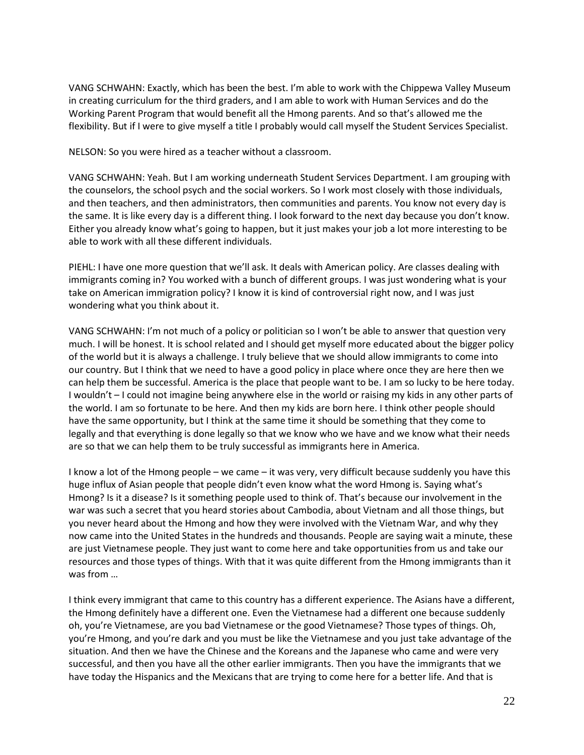VANG SCHWAHN: Exactly, which has been the best. I'm able to work with the Chippewa Valley Museum in creating curriculum for the third graders, and I am able to work with Human Services and do the Working Parent Program that would benefit all the Hmong parents. And so that's allowed me the flexibility. But if I were to give myself a title I probably would call myself the Student Services Specialist.

NELSON: So you were hired as a teacher without a classroom.

VANG SCHWAHN: Yeah. But I am working underneath Student Services Department. I am grouping with the counselors, the school psych and the social workers. So I work most closely with those individuals, and then teachers, and then administrators, then communities and parents. You know not every day is the same. It is like every day is a different thing. I look forward to the next day because you don't know. Either you already know what's going to happen, but it just makes your job a lot more interesting to be able to work with all these different individuals.

PIEHL: I have one more question that we'll ask. It deals with American policy. Are classes dealing with immigrants coming in? You worked with a bunch of different groups. I was just wondering what is your take on American immigration policy? I know it is kind of controversial right now, and I was just wondering what you think about it.

VANG SCHWAHN: I'm not much of a policy or politician so I won't be able to answer that question very much. I will be honest. It is school related and I should get myself more educated about the bigger policy of the world but it is always a challenge. I truly believe that we should allow immigrants to come into our country. But I think that we need to have a good policy in place where once they are here then we can help them be successful. America is the place that people want to be. I am so lucky to be here today. I wouldn't – I could not imagine being anywhere else in the world or raising my kids in any other parts of the world. I am so fortunate to be here. And then my kids are born here. I think other people should have the same opportunity, but I think at the same time it should be something that they come to legally and that everything is done legally so that we know who we have and we know what their needs are so that we can help them to be truly successful as immigrants here in America.

I know a lot of the Hmong people – we came – it was very, very difficult because suddenly you have this huge influx of Asian people that people didn't even know what the word Hmong is. Saying what's Hmong? Is it a disease? Is it something people used to think of. That's because our involvement in the war was such a secret that you heard stories about Cambodia, about Vietnam and all those things, but you never heard about the Hmong and how they were involved with the Vietnam War, and why they now came into the United States in the hundreds and thousands. People are saying wait a minute, these are just Vietnamese people. They just want to come here and take opportunities from us and take our resources and those types of things. With that it was quite different from the Hmong immigrants than it was from …

I think every immigrant that came to this country has a different experience. The Asians have a different, the Hmong definitely have a different one. Even the Vietnamese had a different one because suddenly oh, you're Vietnamese, are you bad Vietnamese or the good Vietnamese? Those types of things. Oh, you're Hmong, and you're dark and you must be like the Vietnamese and you just take advantage of the situation. And then we have the Chinese and the Koreans and the Japanese who came and were very successful, and then you have all the other earlier immigrants. Then you have the immigrants that we have today the Hispanics and the Mexicans that are trying to come here for a better life. And that is